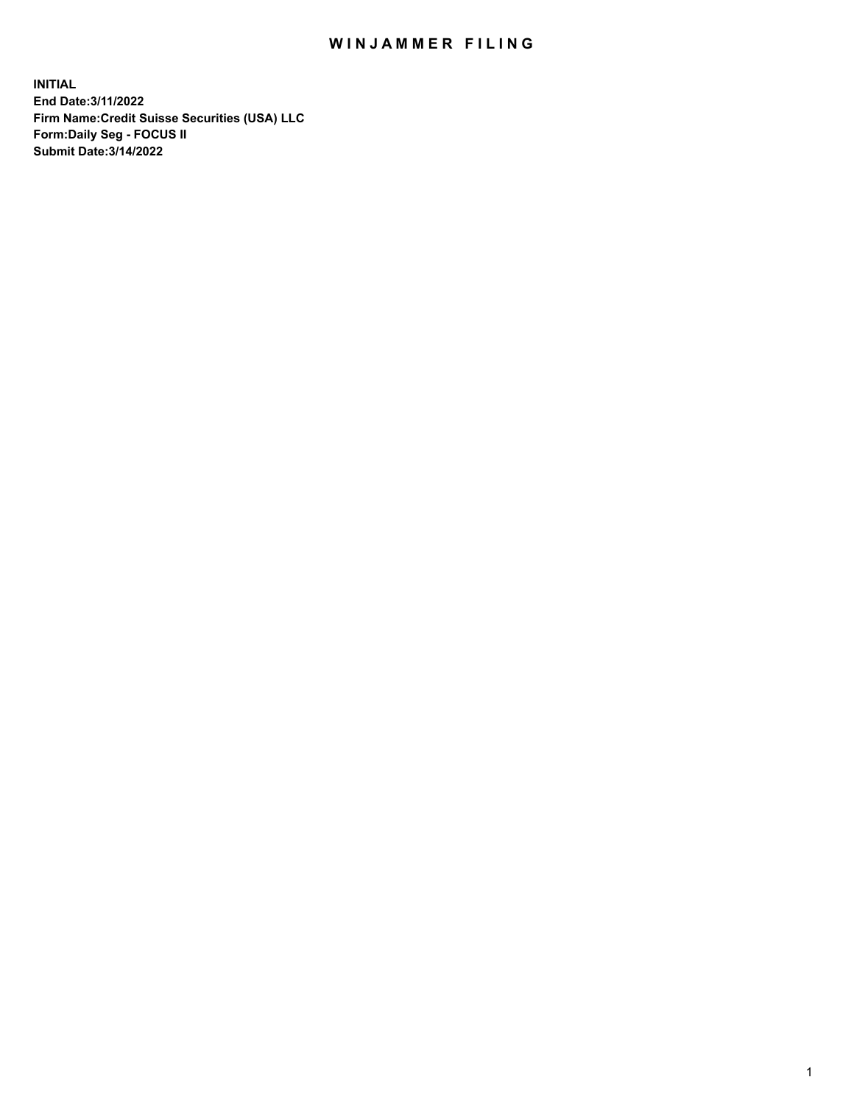# WIN JAMMER FILING

**INITIAL End Date:3/11/2022 Firm Name:Credit Suisse Securities (USA) LLC Form:Daily Seg - FOCUS II Submit Date:3/14/2022**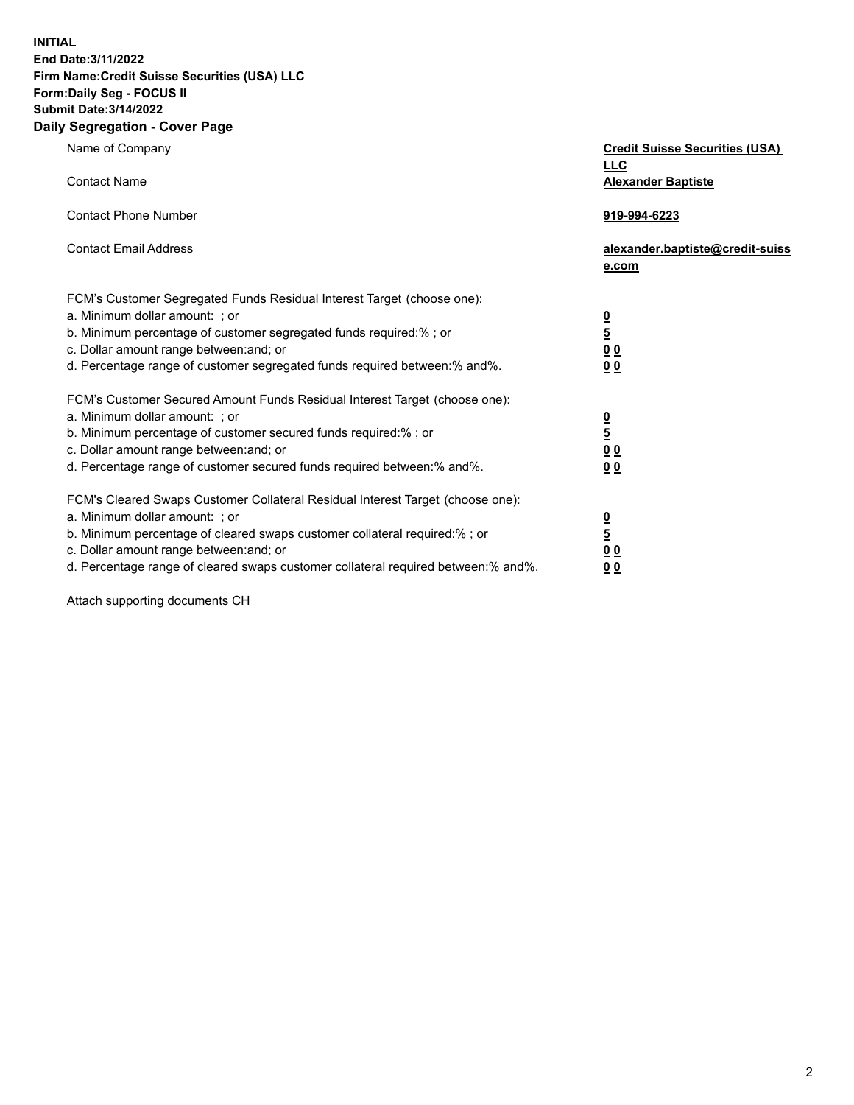**INITIAL End Date:3/11/2022** 

### **Firm Name:Credit Suisse Securities (USA) LLC Form:Daily Seg - FOCUS II**

# **Submit Date:3/14/2022**

### **Daily Segregation - Cover Page**

| Name of Company                                                                                                                                                                                                                                                                                                               | <b>Credit Suisse Securities (USA)</b><br><u>LLC</u>                   |
|-------------------------------------------------------------------------------------------------------------------------------------------------------------------------------------------------------------------------------------------------------------------------------------------------------------------------------|-----------------------------------------------------------------------|
| <b>Contact Name</b>                                                                                                                                                                                                                                                                                                           | <b>Alexander Baptiste</b>                                             |
| <b>Contact Phone Number</b>                                                                                                                                                                                                                                                                                                   | 919-994-6223                                                          |
| <b>Contact Email Address</b>                                                                                                                                                                                                                                                                                                  | alexander.baptiste@credit-suiss<br>e.com                              |
| FCM's Customer Segregated Funds Residual Interest Target (choose one):<br>a. Minimum dollar amount: ; or<br>b. Minimum percentage of customer segregated funds required:% ; or<br>c. Dollar amount range between: and; or<br>d. Percentage range of customer segregated funds required between:% and%.                        | $\frac{\frac{0}{5}}{\frac{0}{0}}$<br>0 <sub>0</sub>                   |
| FCM's Customer Secured Amount Funds Residual Interest Target (choose one):<br>a. Minimum dollar amount: ; or<br>b. Minimum percentage of customer secured funds required:%; or<br>c. Dollar amount range between: and; or<br>d. Percentage range of customer secured funds required between:% and%.                           | $\frac{0}{5}$<br>$\underline{0}$<br>$\underline{0}$<br>0 <sub>0</sub> |
| FCM's Cleared Swaps Customer Collateral Residual Interest Target (choose one):<br>a. Minimum dollar amount: ; or<br>b. Minimum percentage of cleared swaps customer collateral required:%; or<br>c. Dollar amount range between: and; or<br>d. Percentage range of cleared swaps customer collateral required between:% and%. | $\frac{0}{5}$<br>0 <sub>0</sub><br>0 <sub>0</sub>                     |

Attach supporting documents CH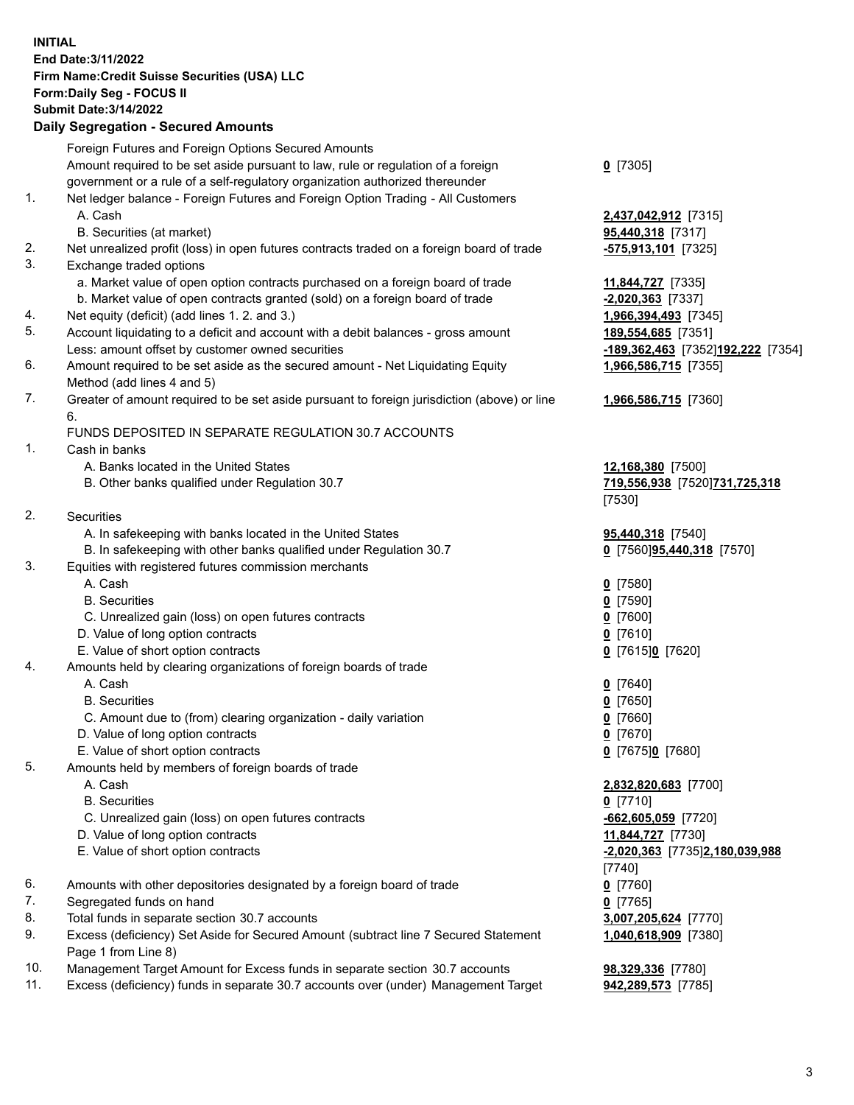**INITIAL End Date:3/11/2022 Firm Name:Credit Suisse Securities (USA) LLC Form:Daily Seg - FOCUS II Submit Date:3/14/2022** 

#### **Daily Segregation - Secured Amounts**

|     | Foreign Futures and Foreign Options Secured Amounts                                         |                                   |
|-----|---------------------------------------------------------------------------------------------|-----------------------------------|
|     | Amount required to be set aside pursuant to law, rule or regulation of a foreign            | $0$ [7305]                        |
|     | government or a rule of a self-regulatory organization authorized thereunder                |                                   |
| 1.  | Net ledger balance - Foreign Futures and Foreign Option Trading - All Customers             |                                   |
|     | A. Cash                                                                                     | 2,437,042,912 [7315]              |
|     | B. Securities (at market)                                                                   | 95,440,318 [7317]                 |
| 2.  | Net unrealized profit (loss) in open futures contracts traded on a foreign board of trade   | -575,913,101 [7325]               |
| 3.  | Exchange traded options                                                                     |                                   |
|     | a. Market value of open option contracts purchased on a foreign board of trade              | 11,844,727 [7335]                 |
|     | b. Market value of open contracts granted (sold) on a foreign board of trade                | $-2,020,363$ [7337]               |
| 4.  | Net equity (deficit) (add lines 1. 2. and 3.)                                               | 1,966,394,493 [7345]              |
| 5.  | Account liquidating to a deficit and account with a debit balances - gross amount           | 189,554,685 [7351]                |
|     | Less: amount offset by customer owned securities                                            | -189,362,463 [7352]192,222 [7354] |
| 6.  | Amount required to be set aside as the secured amount - Net Liquidating Equity              | 1,966,586,715 [7355]              |
|     | Method (add lines 4 and 5)                                                                  |                                   |
| 7.  | Greater of amount required to be set aside pursuant to foreign jurisdiction (above) or line | 1,966,586,715 [7360]              |
|     | 6.                                                                                          |                                   |
|     | FUNDS DEPOSITED IN SEPARATE REGULATION 30.7 ACCOUNTS                                        |                                   |
| 1.  | Cash in banks                                                                               |                                   |
|     | A. Banks located in the United States                                                       | 12,168,380 [7500]                 |
|     | B. Other banks qualified under Regulation 30.7                                              | 719,556,938 [7520]731,725,318     |
|     |                                                                                             | [7530]                            |
| 2.  | Securities                                                                                  |                                   |
|     | A. In safekeeping with banks located in the United States                                   | 95,440,318 [7540]                 |
|     | B. In safekeeping with other banks qualified under Regulation 30.7                          | 0 [7560]95,440,318 [7570]         |
| 3.  | Equities with registered futures commission merchants                                       |                                   |
|     | A. Cash                                                                                     | $0$ [7580]                        |
|     | <b>B.</b> Securities                                                                        | $0$ [7590]                        |
|     | C. Unrealized gain (loss) on open futures contracts                                         | $0$ [7600]                        |
|     | D. Value of long option contracts                                                           | $0$ [7610]                        |
|     | E. Value of short option contracts                                                          | 0 [7615]0 [7620]                  |
| 4.  | Amounts held by clearing organizations of foreign boards of trade                           |                                   |
|     | A. Cash                                                                                     | $0^{5}$ [7640]                    |
|     | <b>B.</b> Securities                                                                        | $0$ [7650]                        |
|     | C. Amount due to (from) clearing organization - daily variation                             | $0$ [7660]                        |
|     | D. Value of long option contracts                                                           | $0$ [7670]                        |
|     | E. Value of short option contracts                                                          | 0 [7675]0 [7680]                  |
| 5.  | Amounts held by members of foreign boards of trade                                          |                                   |
|     | A. Cash                                                                                     | 2,832,820,683 [7700]              |
|     | <b>B.</b> Securities                                                                        | $0$ [7710]                        |
|     | C. Unrealized gain (loss) on open futures contracts                                         | $-662,605,059$ [7720]             |
|     | D. Value of long option contracts                                                           | 11,844,727 [7730]                 |
|     | E. Value of short option contracts                                                          | -2,020,363 [7735]2,180,039,988    |
|     |                                                                                             | [7740]                            |
| 6.  | Amounts with other depositories designated by a foreign board of trade                      | $0$ [7760]                        |
| 7.  | Segregated funds on hand                                                                    | $0$ [7765]                        |
| 8.  | Total funds in separate section 30.7 accounts                                               | 3,007,205,624 [7770]              |
| 9.  | Excess (deficiency) Set Aside for Secured Amount (subtract line 7 Secured Statement         | 1,040,618,909 [7380]              |
|     | Page 1 from Line 8)                                                                         |                                   |
| 10. | Management Target Amount for Excess funds in separate section 30.7 accounts                 | 98,329,336 [7780]                 |
| 11. | Excess (deficiency) funds in separate 30.7 accounts over (under) Management Target          | 942,289,573 [7785]                |
|     |                                                                                             |                                   |

3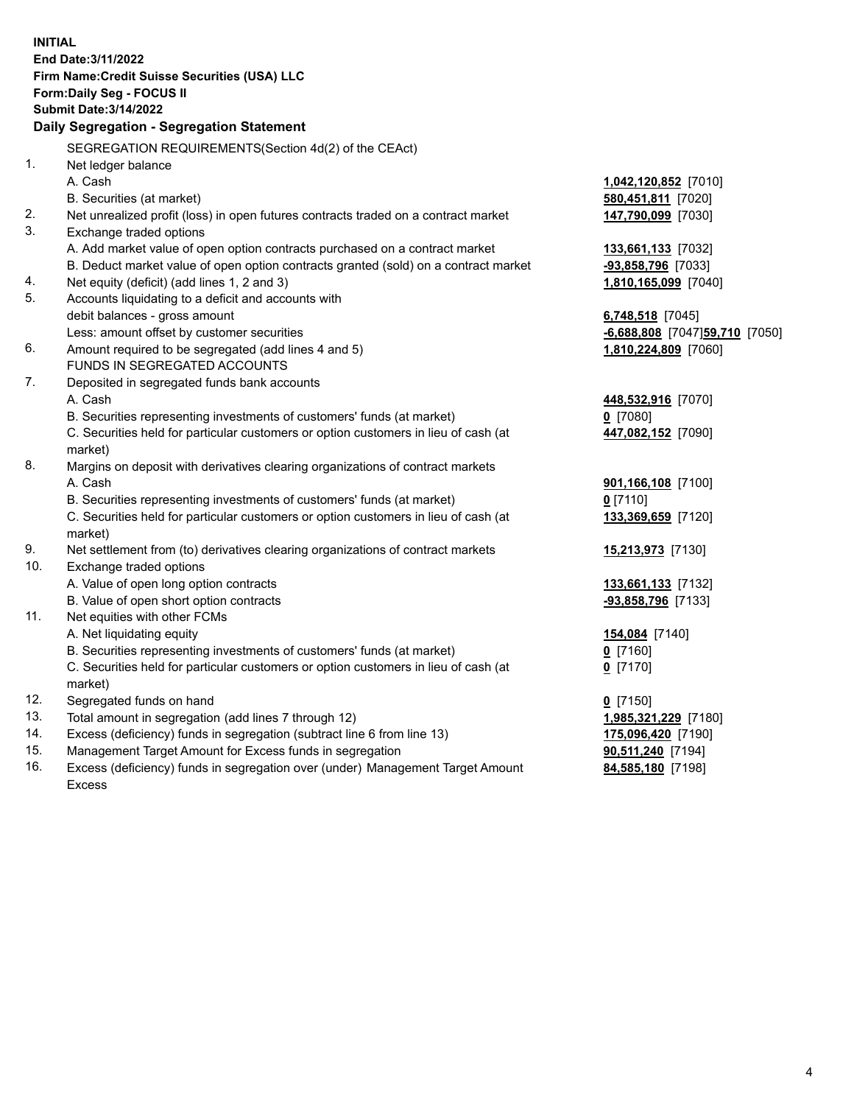15. Management Target Amount for Excess funds in segregation **90,511,240** [7194] 16. Excess (deficiency) funds in segregation over (under) Management Target Amount **84,585,180** [7198] **INITIAL End Date:3/11/2022 Firm Name:Credit Suisse Securities (USA) LLC Form:Daily Seg - FOCUS II Submit Date:3/14/2022 Daily Segregation - Segregation Statement**  SEGREGATION REQUIREMENTS(Section 4d(2) of the CEAct) 1. Net ledger balance A. Cash **1,042,120,852** [7010] B. Securities (at market) **580,451,811** [7020] 2. Net unrealized profit (loss) in open futures contracts traded on a contract market **147,790,099** [7030] 3. Exchange traded options A. Add market value of open option contracts purchased on a contract market **133,661,133** [7032] B. Deduct market value of open option contracts granted (sold) on a contract market **-93,858,796** [7033] 4. Net equity (deficit) (add lines 1, 2 and 3) **1,810,165,099** [7040] 5. Accounts liquidating to a deficit and accounts with debit balances - gross amount **6,748,518** [7045] Less: amount offset by customer securities **-6,688,808** [7047] **59,710** [7050] 6. Amount required to be segregated (add lines 4 and 5) **1,810,224,809** [7060] FUNDS IN SEGREGATED ACCOUNTS 7. Deposited in segregated funds bank accounts A. Cash **448,532,916** [7070] B. Securities representing investments of customers' funds (at market) **0** [7080] C. Securities held for particular customers or option customers in lieu of cash (at **447,082,152** [7090] market) 8. Margins on deposit with derivatives clearing organizations of contract markets A. Cash **901,166,108** [7100] B. Securities representing investments of customers' funds (at market) **0** [7110] C. Securities held for particular customers or option customers in lieu of cash (at **133,369,659** [7120] market) 9. Net settlement from (to) derivatives clearing organizations of contract markets **15,213,973** [7130] 10. Exchange traded options A. Value of open long option contracts **133,661,133** [7132] B. Value of open short option contracts **-93,858,796** [7133] 11. Net equities with other FCMs A. Net liquidating equity **154,084** [7140] B. Securities representing investments of customers' funds (at market) **0** [7160] C. Securities held for particular customers or option customers in lieu of cash (at **0** [7170] market) 12. Segregated funds on hand **0** [7150] 13. Total amount in segregation (add lines 7 through 12) **1,985,321,229** [7180] 14. Excess (deficiency) funds in segregation (subtract line 6 from line 13) **175,096,420** [7190]

Excess